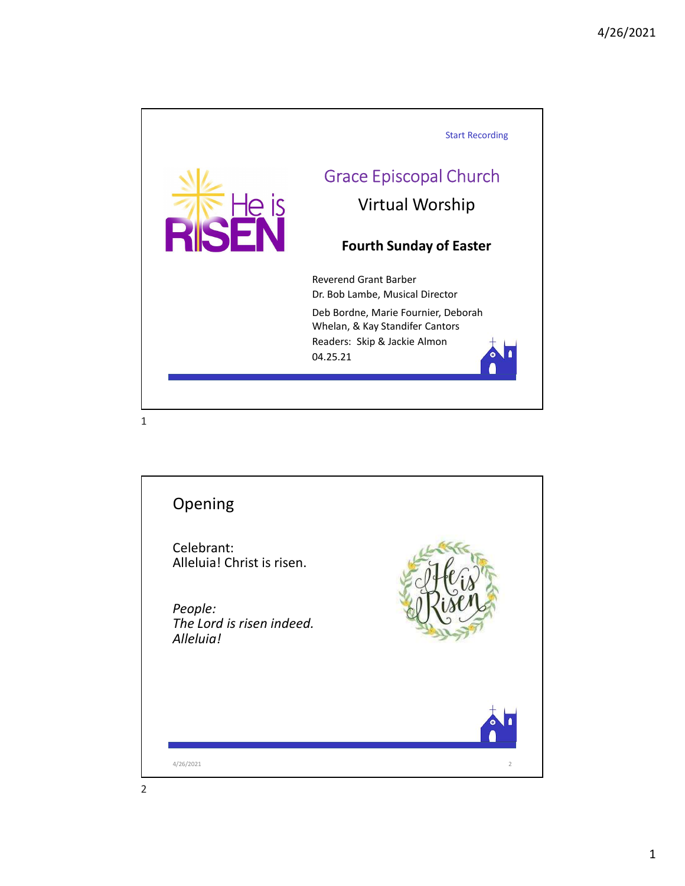

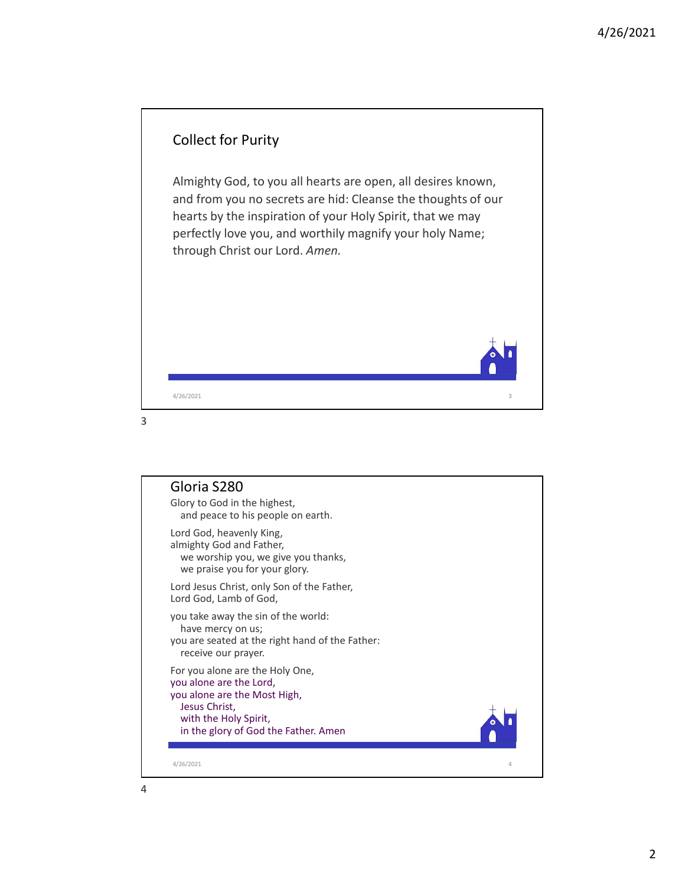

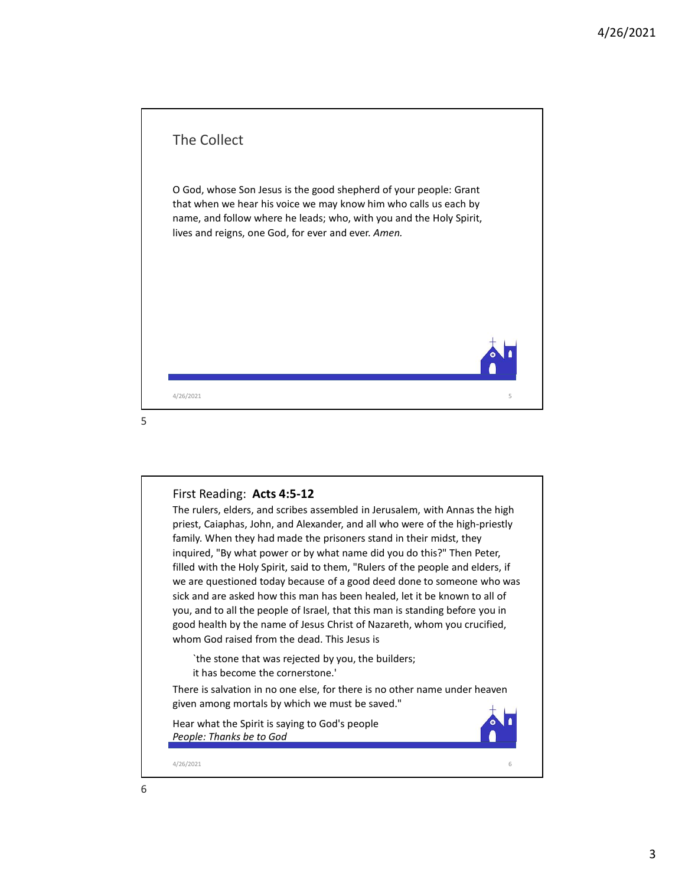

## First Reading: Acts 4:5-12

The rulers, elders, and scribes assembled in Jerusalem, with Annas the high priest, Caiaphas, John, and Alexander, and all who were of the high-priestly family. When they had made the prisoners stand in their midst, they inquired, "By what power or by what name did you do this?" Then Peter, filled with the Holy Spirit, said to them, "Rulers of the people and elders, if we are questioned today because of a good deed done to someone who was sick and are asked how this man has been healed, let it be known to all of you, and to all the people of Israel, that this man is standing before you in good health by the name of Jesus Christ of Nazareth, whom you crucified, whom God raised from the dead. This Jesus is First Reading: **Acts 4:5-12**<br>The rulers, elders, and scribes assembled in Jerusalem, with Annas the high<br>priest, Calaphas, John, and Alexander, and all who were of the high-priestly<br>family. When they had made the prisoners

`the stone that was rejected by you, the builders; it has become the cornerstone.'

There is salvation in no one else, for there is no other name under heaven given among mortals by which we must be saved."

Hear what the Spirit is saying to God's people People: Thanks be to God



6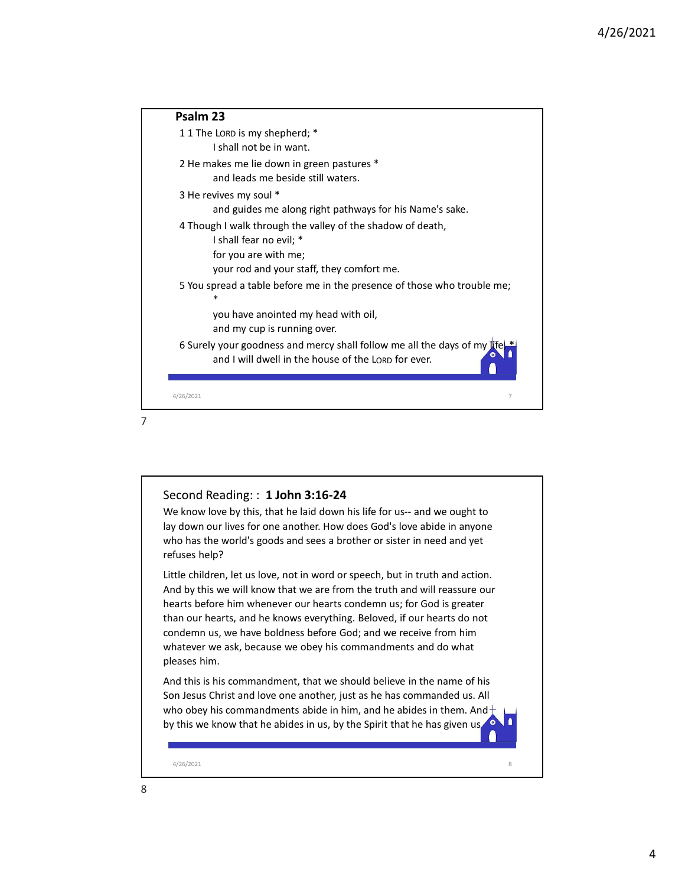|   |                                                                                                                                                                                                                                                 | 4/26/2021 |
|---|-------------------------------------------------------------------------------------------------------------------------------------------------------------------------------------------------------------------------------------------------|-----------|
|   | Psalm 23                                                                                                                                                                                                                                        |           |
|   | 11 The LORD is my shepherd; *<br>I shall not be in want.                                                                                                                                                                                        |           |
|   | 2 He makes me lie down in green pastures *<br>and leads me beside still waters.                                                                                                                                                                 |           |
|   | 3 He revives my soul *<br>and guides me along right pathways for his Name's sake.                                                                                                                                                               |           |
|   | 4 Though I walk through the valley of the shadow of death,<br>I shall fear no evil; *<br>for you are with me;                                                                                                                                   |           |
|   | your rod and your staff, they comfort me.<br>5 You spread a table before me in the presence of those who trouble me;                                                                                                                            |           |
|   | you have anointed my head with oil,<br>and my cup is running over.                                                                                                                                                                              |           |
|   | 6 Surely your goodness and mercy shall follow me all the days of my life.<br>and I will dwell in the house of the LORD for ever.                                                                                                                |           |
|   | 4/26/2021<br>7                                                                                                                                                                                                                                  |           |
| 7 |                                                                                                                                                                                                                                                 |           |
|   |                                                                                                                                                                                                                                                 |           |
|   | Second Reading:: 1 John 3:16-24                                                                                                                                                                                                                 |           |
|   | We know love by this, that he laid down his life for us-- and we ought to<br>lay down our lives for one another. How does God's love abide in anyone<br>who has the world's goods and sees a brother or sister in need and yet<br>refuses help? |           |
|   | Little children, let us love, not in word or speech, but in truth and action.<br>And by this we will know that we are from the truth and will reassure our                                                                                      |           |

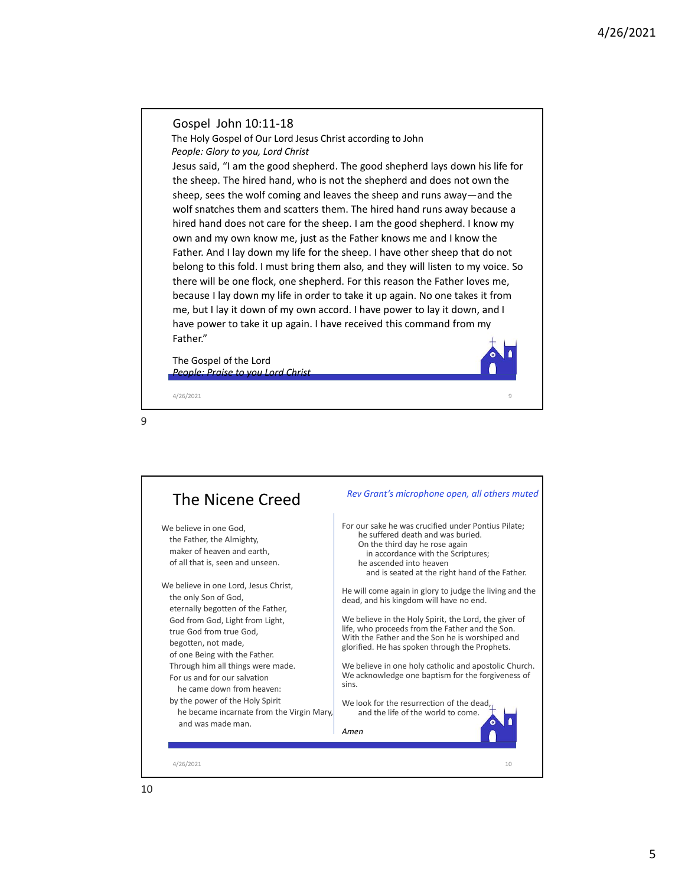## Gospel John 10:11-18

The Holy Gospel of Our Lord Jesus Christ according to John People: Glory to you, Lord Christ

Jesus said, "I am the good shepherd. The good shepherd lays down his life for the sheep. The hired hand, who is not the shepherd and does not own the sheep, sees the wolf coming and leaves the sheep and runs away—and the wolf snatches them and scatters them. The hired hand runs away because a hired hand does not care for the sheep. I am the good shepherd. I know my own and my own know me, just as the Father knows me and I know the Father. And I lay down my life for the sheep. I have other sheep that do not belong to this fold. I must bring them also, and they will listen to my voice. So there will be one flock, one shepherd. For this reason the Father loves me, because I lay down my life in order to take it up again. No one takes it from me, but I lay it down of my own accord. I have power to lay it down, and I have power to take it up again. I have received this command from my Father." Gospel John 10:11-18<br>The Holy Cospel of Our Lord less Christ according to John<br>The Poly Cospel of Our Lord Christ<br>Jesus said, "I am the good shepherd. The good shepherd lays down his life for<br>Jesus said, "I am the good she

The Gospel of the Lord People: Praise to you Lord Christ

9

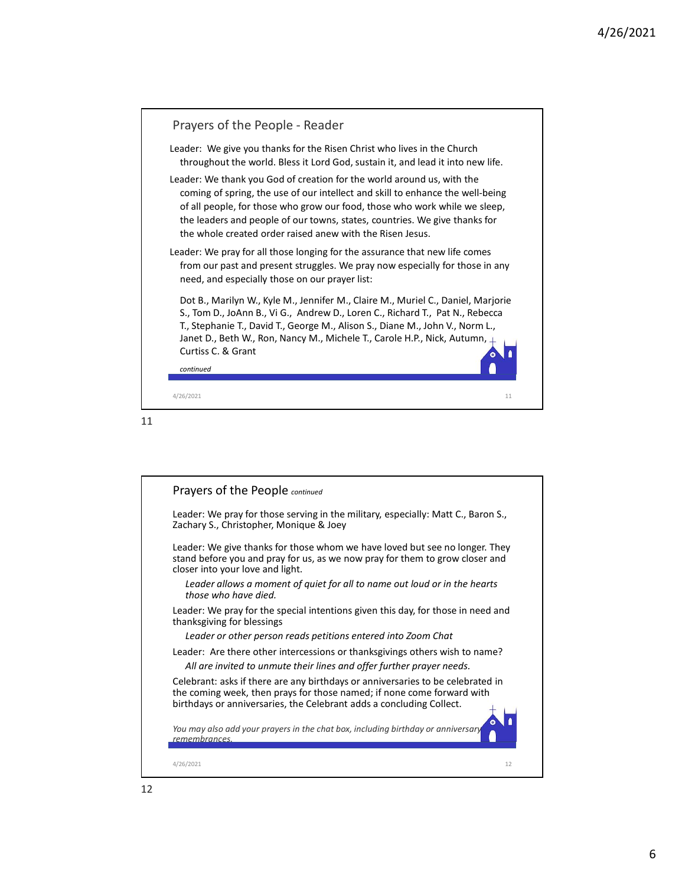

$$
11\quad \ \,
$$

| Prayers of the People continued                                                                                                                                                                                                   |  |
|-----------------------------------------------------------------------------------------------------------------------------------------------------------------------------------------------------------------------------------|--|
| Leader: We pray for those serving in the military, especially: Matt C., Baron S.,<br>Zachary S., Christopher, Monique & Joey                                                                                                      |  |
| Leader: We give thanks for those whom we have loved but see no longer. They<br>stand before you and pray for us, as we now pray for them to grow closer and<br>closer into your love and light.                                   |  |
| Leader allows a moment of quiet for all to name out loud or in the hearts<br>those who have died.                                                                                                                                 |  |
| Leader: We pray for the special intentions given this day, for those in need and<br>thanksgiving for blessings                                                                                                                    |  |
| Leader or other person reads petitions entered into Zoom Chat                                                                                                                                                                     |  |
| Leader: Are there other intercessions or thanks givings others wish to name?                                                                                                                                                      |  |
| All are invited to unmute their lines and offer further prayer needs.                                                                                                                                                             |  |
| Celebrant: asks if there are any birthdays or anniversaries to be celebrated in<br>the coming week, then prays for those named; if none come forward with<br>birthdays or anniversaries, the Celebrant adds a concluding Collect. |  |
| You may also add your prayers in the chat box, including birthday or anniversary<br>remembrances.                                                                                                                                 |  |
| 4/26/2021<br>12                                                                                                                                                                                                                   |  |
|                                                                                                                                                                                                                                   |  |
|                                                                                                                                                                                                                                   |  |
|                                                                                                                                                                                                                                   |  |
|                                                                                                                                                                                                                                   |  |
|                                                                                                                                                                                                                                   |  |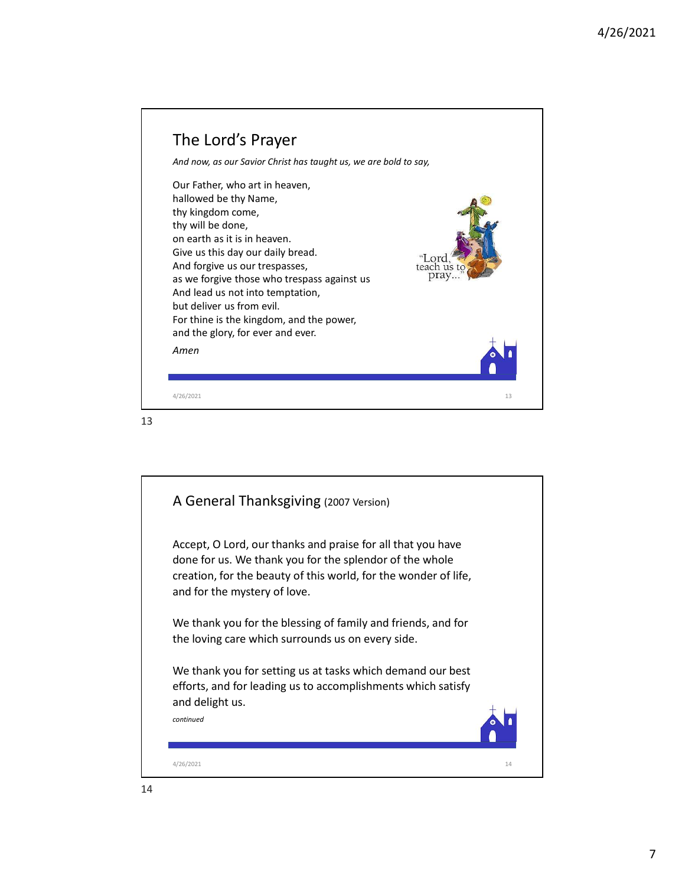

13